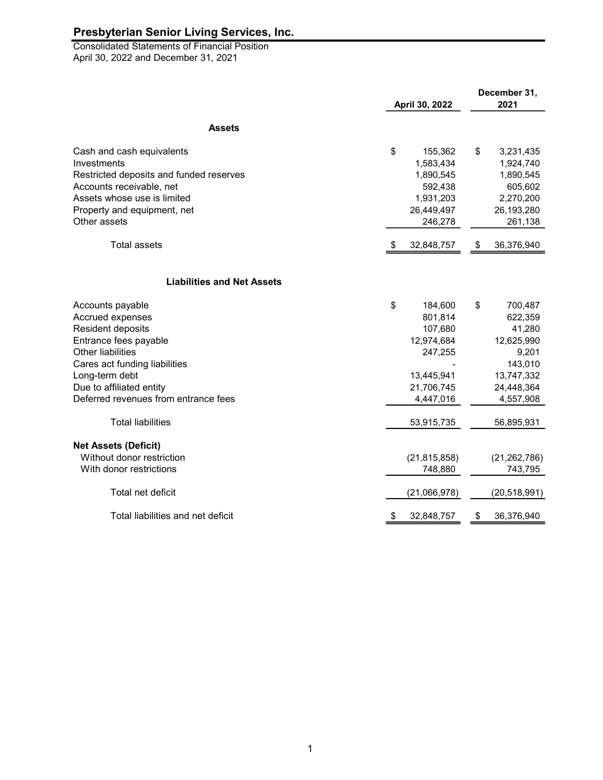April 30, 2022 and December 31, 2021 **Consolidated Statements of Financial Position** 

|                                         | April 30, 2022 |                | December 31,<br>2021 |                |
|-----------------------------------------|----------------|----------------|----------------------|----------------|
|                                         |                |                |                      |                |
| <b>Assets</b>                           |                |                |                      |                |
| Cash and cash equivalents               | \$             | 155,362        | \$                   | 3,231,435      |
| Investments                             |                | 1,583,434      |                      | 1,924,740      |
| Restricted deposits and funded reserves |                | 1,890,545      |                      | 1,890,545      |
| Accounts receivable, net                |                | 592,438        |                      | 605,602        |
| Assets whose use is limited             |                | 1,931,203      |                      | 2,270,200      |
| Property and equipment, net             |                | 26,449,497     |                      | 26,193,280     |
| Other assets                            |                | 246,278        |                      | 261,138        |
| <b>Total assets</b>                     | S              | 32,848,757     | \$                   | 36,376,940     |
|                                         |                |                |                      |                |
| <b>Liabilities and Net Assets</b>       |                |                |                      |                |
| Accounts payable                        | \$             | 184,600        | \$                   | 700,487        |
| Accrued expenses                        |                | 801,814        |                      | 622,359        |
| Resident deposits                       |                | 107,680        |                      | 41,280         |
| Entrance fees payable                   |                | 12,974,684     |                      | 12,625,990     |
| <b>Other liabilities</b>                |                | 247,255        |                      | 9,201          |
| Cares act funding liabilities           |                |                |                      | 143,010        |
| Long-term debt                          |                | 13,445,941     |                      | 13,747,332     |
| Due to affiliated entity                |                | 21,706,745     |                      | 24,448,364     |
| Deferred revenues from entrance fees    |                | 4,447,016      |                      | 4,557,908      |
| <b>Total liabilities</b>                |                | 53,915,735     |                      | 56,895,931     |
| <b>Net Assets (Deficit)</b>             |                |                |                      |                |
| Without donor restriction               |                | (21, 815, 858) |                      | (21, 262, 786) |
| With donor restrictions                 |                | 748,880        |                      | 743,795        |
| Total net deficit                       |                | (21,066,978)   |                      | (20,518,991)   |
| Total liabilities and net deficit       | \$             | 32,848,757     | \$                   | 36,376,940     |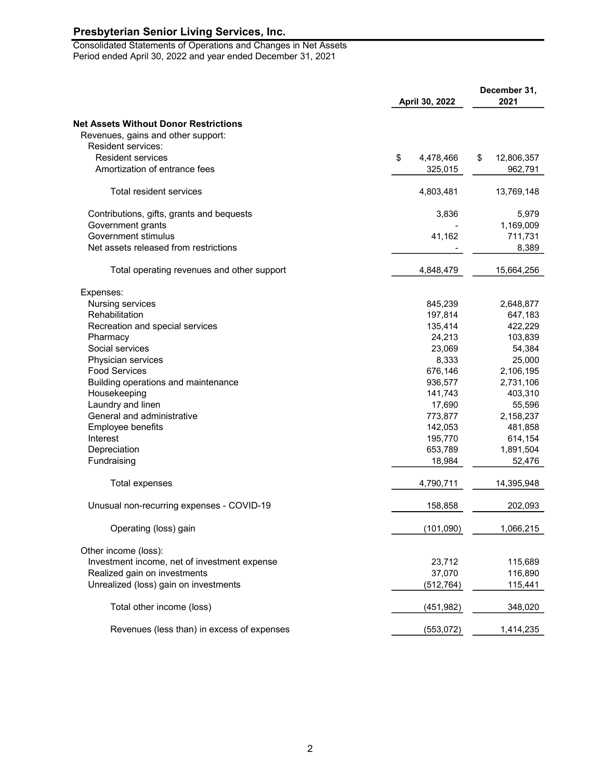Consolidated Statements of Operations and Changes in Net Assets Period ended April 30, 2022 and year ended December 31, 2021

|                                              | April 30, 2022  |                  |
|----------------------------------------------|-----------------|------------------|
| <b>Net Assets Without Donor Restrictions</b> |                 |                  |
| Revenues, gains and other support:           |                 |                  |
| Resident services:                           |                 |                  |
| <b>Resident services</b>                     | \$<br>4,478,466 | \$<br>12,806,357 |
| Amortization of entrance fees                | 325,015         | 962,791          |
| Total resident services                      | 4,803,481       | 13,769,148       |
| Contributions, gifts, grants and bequests    | 3,836           | 5,979            |
| Government grants                            |                 | 1,169,009        |
| Government stimulus                          | 41,162          | 711,731          |
| Net assets released from restrictions        |                 | 8,389            |
| Total operating revenues and other support   | 4,848,479       | 15,664,256       |
| Expenses:                                    |                 |                  |
| Nursing services                             | 845,239         | 2,648,877        |
| Rehabilitation                               | 197,814         | 647,183          |
| Recreation and special services              | 135,414         | 422,229          |
| Pharmacy                                     | 24,213          | 103,839          |
| Social services                              | 23,069          | 54,384           |
| Physician services                           | 8,333           | 25,000           |
| <b>Food Services</b>                         | 676,146         | 2,106,195        |
| Building operations and maintenance          | 936,577         | 2,731,106        |
| Housekeeping                                 | 141,743         | 403,310          |
| Laundry and linen                            | 17,690          | 55,596           |
| General and administrative                   | 773,877         | 2,158,237        |
| Employee benefits                            | 142,053         | 481,858          |
| Interest                                     | 195,770         | 614,154          |
| Depreciation                                 | 653,789         | 1,891,504        |
| Fundraising                                  | 18,984          | 52,476           |
| Total expenses                               | 4,790,711       | 14,395,948       |
| Unusual non-recurring expenses - COVID-19    | 158,858         | 202,093          |
| Operating (loss) gain                        | (101, 090)      | 1,066,215        |
| Other income (loss):                         |                 |                  |
| Investment income, net of investment expense | 23,712          | 115,689          |
| Realized gain on investments                 | 37,070          | 116,890          |
| Unrealized (loss) gain on investments        | (512, 764)      | 115,441          |
| Total other income (loss)                    | (451, 982)      | 348,020          |
| Revenues (less than) in excess of expenses   | (553, 072)      | 1,414,235        |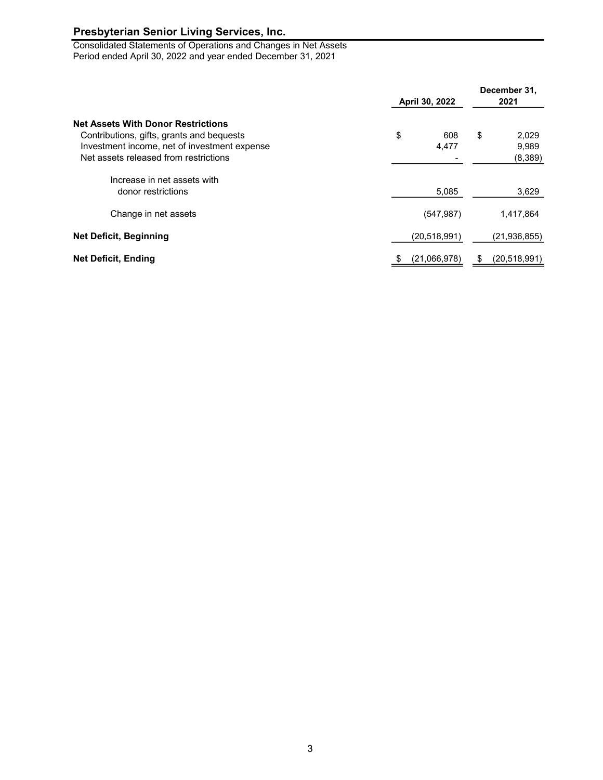Consolidated Statements of Operations and Changes in Net Assets Period ended April 30, 2022 and year ended December 31, 2021

| <b>Net Assets With Donor Restrictions</b><br>Contributions, gifts, grants and bequests<br>Investment income, net of investment expense<br>Net assets released from restrictions | April 30, 2022 | December 31,<br>2021                            |
|---------------------------------------------------------------------------------------------------------------------------------------------------------------------------------|----------------|-------------------------------------------------|
|                                                                                                                                                                                 | \$             | \$<br>608<br>2,029<br>9,989<br>4,477<br>(8,389) |
| Increase in net assets with<br>donor restrictions                                                                                                                               |                | 3,629<br>5,085                                  |
| Change in net assets                                                                                                                                                            |                | (547, 987)<br>1,417,864                         |
| <b>Net Deficit, Beginning</b>                                                                                                                                                   | (20, 518, 991) | (21, 936, 855)                                  |
| <b>Net Deficit, Ending</b>                                                                                                                                                      | (21,066,978)   | (20, 518, 991)<br>\$                            |